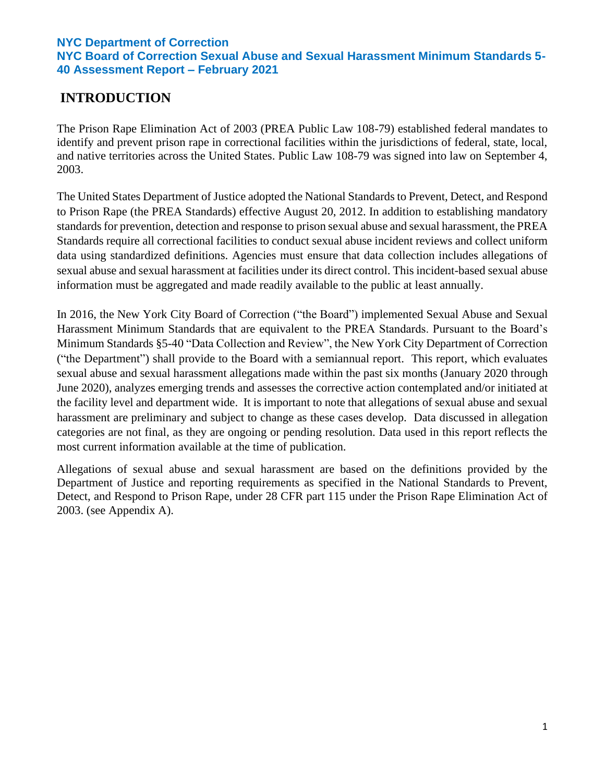# **INTRODUCTION**

The Prison Rape Elimination Act of 2003 (PREA Public Law 108-79) established federal mandates to identify and prevent prison rape in correctional facilities within the jurisdictions of federal, state, local, and native territories across the United States. Public Law 108-79 was signed into law on September 4, 2003.

The United States Department of Justice adopted the National Standards to Prevent, Detect, and Respond to Prison Rape (the PREA Standards) effective August 20, 2012. In addition to establishing mandatory standards for prevention, detection and response to prison sexual abuse and sexual harassment, the PREA Standards require all correctional facilities to conduct sexual abuse incident reviews and collect uniform data using standardized definitions. Agencies must ensure that data collection includes allegations of sexual abuse and sexual harassment at facilities under its direct control. This incident-based sexual abuse information must be aggregated and made readily available to the public at least annually.

In 2016, the New York City Board of Correction ("the Board") implemented Sexual Abuse and Sexual Harassment Minimum Standards that are equivalent to the PREA Standards. Pursuant to the Board's Minimum Standards §5-40 "Data Collection and Review", the New York City Department of Correction ("the Department") shall provide to the Board with a semiannual report. This report, which evaluates sexual abuse and sexual harassment allegations made within the past six months (January 2020 through June 2020), analyzes emerging trends and assesses the corrective action contemplated and/or initiated at the facility level and department wide. It is important to note that allegations of sexual abuse and sexual harassment are preliminary and subject to change as these cases develop. Data discussed in allegation categories are not final, as they are ongoing or pending resolution. Data used in this report reflects the most current information available at the time of publication.

Allegations of sexual abuse and sexual harassment are based on the definitions provided by the Department of Justice and reporting requirements as specified in the National Standards to Prevent, Detect, and Respond to Prison Rape, under 28 CFR part 115 under the Prison Rape Elimination Act of 2003. (see Appendix A).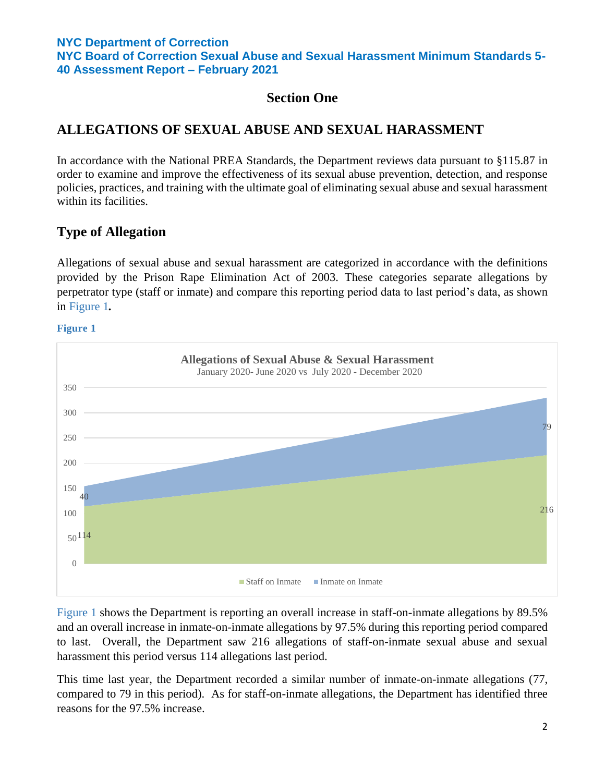**NYC Board of Correction Sexual Abuse and Sexual Harassment Minimum Standards 5- 40 Assessment Report – February 2021**

## **Section One**

## **ALLEGATIONS OF SEXUAL ABUSE AND SEXUAL HARASSMENT**

In accordance with the National PREA Standards, the Department reviews data pursuant to §115.87 in order to examine and improve the effectiveness of its sexual abuse prevention, detection, and response policies, practices, and training with the ultimate goal of eliminating sexual abuse and sexual harassment within its facilities.

# **Type of Allegation**

Allegations of sexual abuse and sexual harassment are categorized in accordance with the definitions provided by the Prison Rape Elimination Act of 2003. These categories separate allegations by perpetrator type (staff or inmate) and compare this reporting period data to last period's data, as shown in Figure 1*.* 

#### **Figure 1**



Figure 1 shows the Department is reporting an overall increase in staff-on-inmate allegations by 89.5% and an overall increase in inmate-on-inmate allegations by 97.5% during this reporting period compared to last. Overall, the Department saw 216 allegations of staff-on-inmate sexual abuse and sexual harassment this period versus 114 allegations last period.

This time last year, the Department recorded a similar number of inmate-on-inmate allegations (77, compared to 79 in this period). As for staff-on-inmate allegations, the Department has identified three reasons for the 97.5% increase.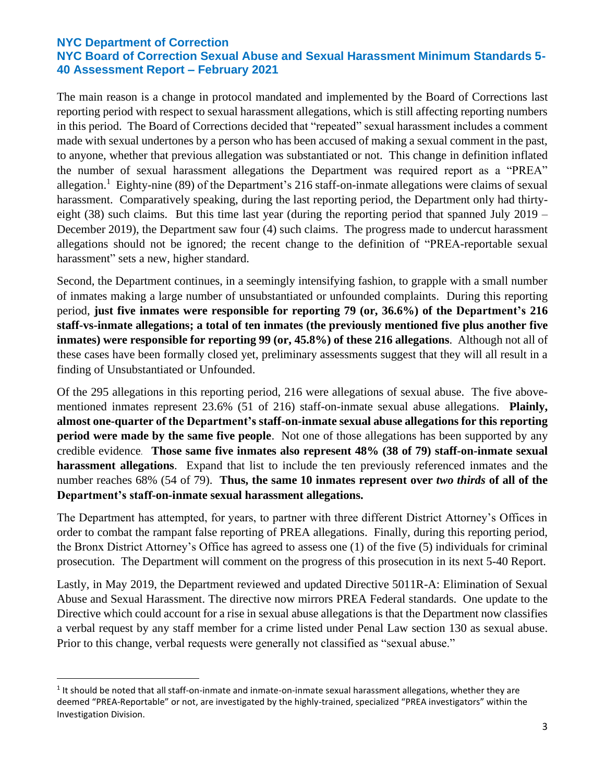The main reason is a change in protocol mandated and implemented by the Board of Corrections last reporting period with respect to sexual harassment allegations, which is still affecting reporting numbers in this period. The Board of Corrections decided that "repeated" sexual harassment includes a comment made with sexual undertones by a person who has been accused of making a sexual comment in the past, to anyone, whether that previous allegation was substantiated or not. This change in definition inflated the number of sexual harassment allegations the Department was required report as a "PREA" allegation.<sup>1</sup> Eighty-nine (89) of the Department's 216 staff-on-inmate allegations were claims of sexual harassment. Comparatively speaking, during the last reporting period, the Department only had thirtyeight (38) such claims. But this time last year (during the reporting period that spanned July 2019 – December 2019), the Department saw four (4) such claims. The progress made to undercut harassment allegations should not be ignored; the recent change to the definition of "PREA-reportable sexual harassment" sets a new, higher standard.

Second, the Department continues, in a seemingly intensifying fashion, to grapple with a small number of inmates making a large number of unsubstantiated or unfounded complaints. During this reporting period, **just five inmates were responsible for reporting 79 (or, 36.6%) of the Department's 216 staff-vs-inmate allegations; a total of ten inmates (the previously mentioned five plus another five inmates) were responsible for reporting 99 (or, 45.8%) of these 216 allegations**. Although not all of these cases have been formally closed yet, preliminary assessments suggest that they will all result in a finding of Unsubstantiated or Unfounded.

Of the 295 allegations in this reporting period, 216 were allegations of sexual abuse. The five abovementioned inmates represent 23.6% (51 of 216) staff-on-inmate sexual abuse allegations. **Plainly, almost one-quarter of the Department's staff-on-inmate sexual abuse allegations for this reporting period were made by the same five people**. Not one of those allegations has been supported by any credible evidence. **Those same five inmates also represent 48% (38 of 79) staff-on-inmate sexual harassment allegations**. Expand that list to include the ten previously referenced inmates and the number reaches 68% (54 of 79). **Thus, the same 10 inmates represent over** *two thirds* **of all of the Department's staff-on-inmate sexual harassment allegations.**

The Department has attempted, for years, to partner with three different District Attorney's Offices in order to combat the rampant false reporting of PREA allegations. Finally, during this reporting period, the Bronx District Attorney's Office has agreed to assess one (1) of the five (5) individuals for criminal prosecution. The Department will comment on the progress of this prosecution in its next 5-40 Report.

Lastly, in May 2019, the Department reviewed and updated Directive 5011R-A: Elimination of Sexual Abuse and Sexual Harassment. The directive now mirrors PREA Federal standards. One update to the Directive which could account for a rise in sexual abuse allegations is that the Department now classifies a verbal request by any staff member for a crime listed under Penal Law section 130 as sexual abuse. Prior to this change, verbal requests were generally not classified as "sexual abuse."

 $1$  It should be noted that all staff-on-inmate and inmate-on-inmate sexual harassment allegations, whether they are deemed "PREA-Reportable" or not, are investigated by the highly-trained, specialized "PREA investigators" within the Investigation Division.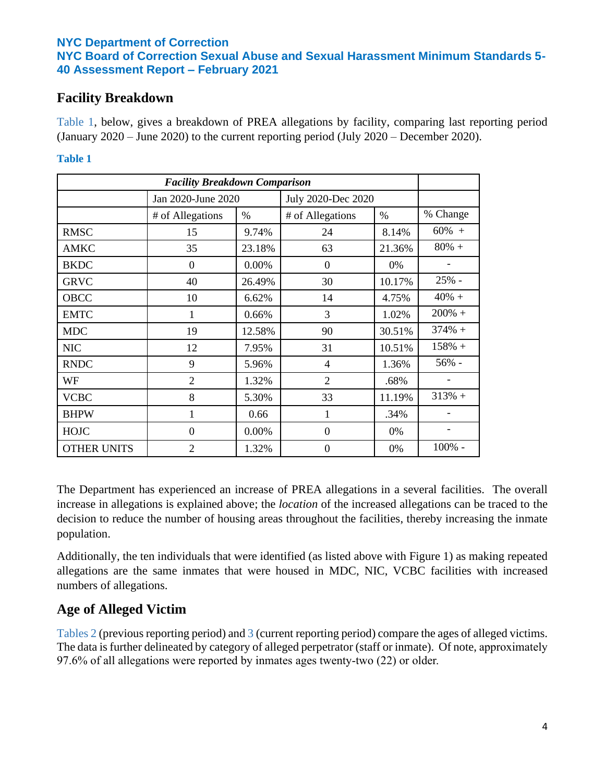## **Facility Breakdown**

Table 1, below, gives a breakdown of PREA allegations by facility, comparing last reporting period (January 2020 – June 2020) to the current reporting period (July 2020 – December 2020).

### **Table 1**

| <b>Facility Breakdown Comparison</b> |                    |        |                    |        |          |
|--------------------------------------|--------------------|--------|--------------------|--------|----------|
|                                      | Jan 2020-June 2020 |        | July 2020-Dec 2020 |        |          |
|                                      | # of Allegations   | $\%$   | # of Allegations   | $\%$   | % Change |
| <b>RMSC</b>                          | 15                 | 9.74%  | 24                 | 8.14%  | $60\% +$ |
| <b>AMKC</b>                          | 35                 | 23.18% | 63                 | 21.36% | $80%$ +  |
| <b>BKDC</b>                          | $\theta$           | 0.00%  | $\theta$           | 0%     |          |
| <b>GRVC</b>                          | 40                 | 26.49% | 30                 | 10.17% | 25% -    |
| OBCC                                 | 10                 | 6.62%  | 14                 | 4.75%  | $40% +$  |
| <b>EMTC</b>                          | 1                  | 0.66%  | 3                  | 1.02%  | $200% +$ |
| <b>MDC</b>                           | 19                 | 12.58% | 90                 | 30.51% | $374% +$ |
| <b>NIC</b>                           | 12                 | 7.95%  | 31                 | 10.51% | $158% +$ |
| <b>RNDC</b>                          | 9                  | 5.96%  | $\overline{4}$     | 1.36%  | 56% -    |
| WF                                   | $\overline{2}$     | 1.32%  | $\overline{2}$     | .68%   |          |
| <b>VCBC</b>                          | 8                  | 5.30%  | 33                 | 11.19% | $313% +$ |
| <b>BHPW</b>                          | 1                  | 0.66   | 1                  | .34%   |          |
| <b>HOJC</b>                          | $\overline{0}$     | 0.00%  | $\theta$           | 0%     |          |
| <b>OTHER UNITS</b>                   | $\overline{2}$     | 1.32%  | $\overline{0}$     | 0%     | 100% -   |

The Department has experienced an increase of PREA allegations in a several facilities. The overall increase in allegations is explained above; the *location* of the increased allegations can be traced to the decision to reduce the number of housing areas throughout the facilities, thereby increasing the inmate population.

Additionally, the ten individuals that were identified (as listed above with Figure 1) as making repeated allegations are the same inmates that were housed in MDC, NIC, VCBC facilities with increased numbers of allegations.

# **Age of Alleged Victim**

Tables 2 (previous reporting period) and 3 (current reporting period) compare the ages of alleged victims. The data is further delineated by category of alleged perpetrator (staff or inmate). Of note, approximately 97.6% of all allegations were reported by inmates ages twenty-two (22) or older.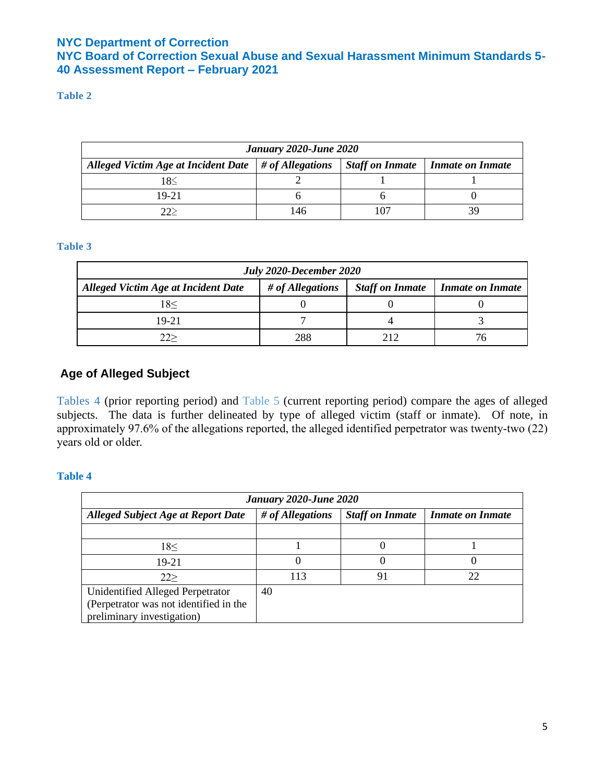## **NYC Board of Correction Sexual Abuse and Sexual Harassment Minimum Standards 5- 40 Assessment Report – February 2021**

### **Table 2**

| <b>January 2020-June 2020</b>                                      |     |                        |                  |  |  |
|--------------------------------------------------------------------|-----|------------------------|------------------|--|--|
| Alleged Victim Age at Incident Date $\frac{1}{2}$ # of Allegations |     | <b>Staff on Inmate</b> | Inmate on Inmate |  |  |
| 18<                                                                |     |                        |                  |  |  |
| 19-21                                                              |     |                        |                  |  |  |
| $\gamma\gamma$                                                     | 146 |                        |                  |  |  |

#### **Table 3**

| July 2020-December 2020                                                                                             |     |       |  |  |  |
|---------------------------------------------------------------------------------------------------------------------|-----|-------|--|--|--|
| # of Allegations<br><b>Staff on Inmate</b><br><b>Alleged Victim Age at Incident Date</b><br><b>Inmate on Inmate</b> |     |       |  |  |  |
| 18<                                                                                                                 |     |       |  |  |  |
| 19-21                                                                                                               |     |       |  |  |  |
|                                                                                                                     | 288 | າ 1 າ |  |  |  |

## **Age of Alleged Subject**

Tables 4 (prior reporting period) and Table 5 (current reporting period) compare the ages of alleged subjects. The data is further delineated by type of alleged victim (staff or inmate). Of note, in approximately 97.6% of the allegations reported, the alleged identified perpetrator was twenty-two (22) years old or older.

| January 2020-June 2020                                                                                   |                  |                        |                         |  |  |
|----------------------------------------------------------------------------------------------------------|------------------|------------------------|-------------------------|--|--|
| <b>Alleged Subject Age at Report Date</b>                                                                | # of Allegations | <b>Staff on Inmate</b> | <b>Inmate on Inmate</b> |  |  |
|                                                                                                          |                  |                        |                         |  |  |
| 18<                                                                                                      |                  |                        |                         |  |  |
| 19-21                                                                                                    |                  |                        |                         |  |  |
| 22                                                                                                       | 113              | 91                     | 22                      |  |  |
| Unidentified Alleged Perpetrator<br>(Perpetrator was not identified in the<br>preliminary investigation) | 40               |                        |                         |  |  |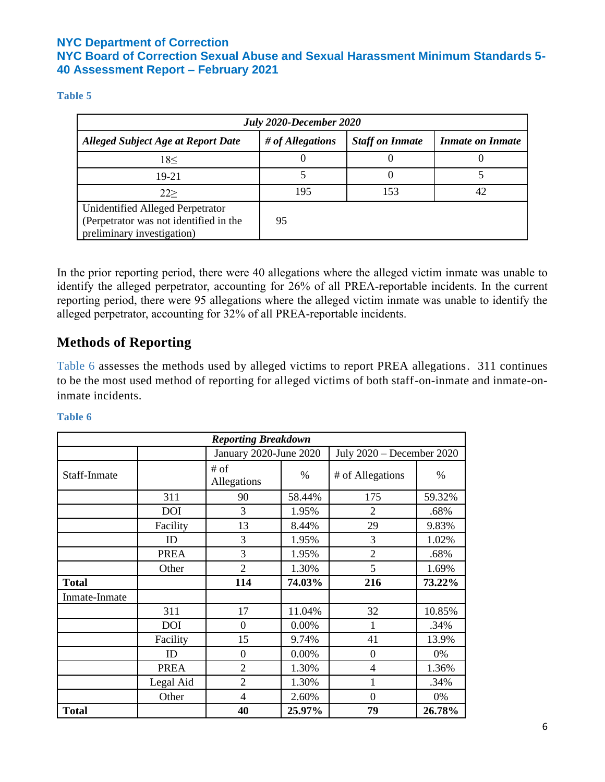#### **Table 5**

| July 2020-December 2020                                                                                  |                  |                        |                         |  |
|----------------------------------------------------------------------------------------------------------|------------------|------------------------|-------------------------|--|
| <b>Alleged Subject Age at Report Date</b>                                                                | # of Allegations | <b>Staff on Inmate</b> | <b>Inmate on Inmate</b> |  |
| 18<                                                                                                      |                  |                        |                         |  |
| 19-21                                                                                                    |                  |                        |                         |  |
| 22                                                                                                       | 195              | 153                    |                         |  |
| Unidentified Alleged Perpetrator<br>(Perpetrator was not identified in the<br>preliminary investigation) | 95               |                        |                         |  |

In the prior reporting period, there were 40 allegations where the alleged victim inmate was unable to identify the alleged perpetrator, accounting for 26% of all PREA-reportable incidents. In the current reporting period, there were 95 allegations where the alleged victim inmate was unable to identify the alleged perpetrator, accounting for 32% of all PREA-reportable incidents.

# **Methods of Reporting**

Table 6 assesses the methods used by alleged victims to report PREA allegations. 311 continues to be the most used method of reporting for alleged victims of both staff-on-inmate and inmate-oninmate incidents.

|               |             | <b>Reporting Breakdown</b> |        |                             |        |
|---------------|-------------|----------------------------|--------|-----------------------------|--------|
|               |             | January 2020-June 2020     |        | July $2020$ – December 2020 |        |
| Staff-Inmate  |             | # of<br>Allegations        | $\%$   | # of Allegations            | $\%$   |
|               | 311         | 90                         | 58.44% | 175                         | 59.32% |
|               | <b>DOI</b>  | 3                          | 1.95%  | $\overline{2}$              | .68%   |
|               | Facility    | 13                         | 8.44%  | 29                          | 9.83%  |
|               | ID          | 3                          | 1.95%  | 3                           | 1.02%  |
|               | <b>PREA</b> | 3                          | 1.95%  | $\overline{2}$              | .68%   |
|               | Other       | $\overline{2}$             | 1.30%  | 5                           | 1.69%  |
| <b>Total</b>  |             | 114                        | 74.03% | 216                         | 73.22% |
| Inmate-Inmate |             |                            |        |                             |        |
|               | 311         | 17                         | 11.04% | 32                          | 10.85% |
|               | <b>DOI</b>  | $\overline{0}$             | 0.00%  | 1                           | .34%   |
|               | Facility    | 15                         | 9.74%  | 41                          | 13.9%  |
|               | ID          | $\theta$                   | 0.00%  | $\theta$                    | 0%     |
|               | <b>PREA</b> | $\overline{2}$             | 1.30%  | $\overline{4}$              | 1.36%  |
|               | Legal Aid   | $\overline{2}$             | 1.30%  | 1                           | .34%   |
|               | Other       | 4                          | 2.60%  | $\overline{0}$              | 0%     |
| <b>Total</b>  |             | 40                         | 25.97% | 79                          | 26.78% |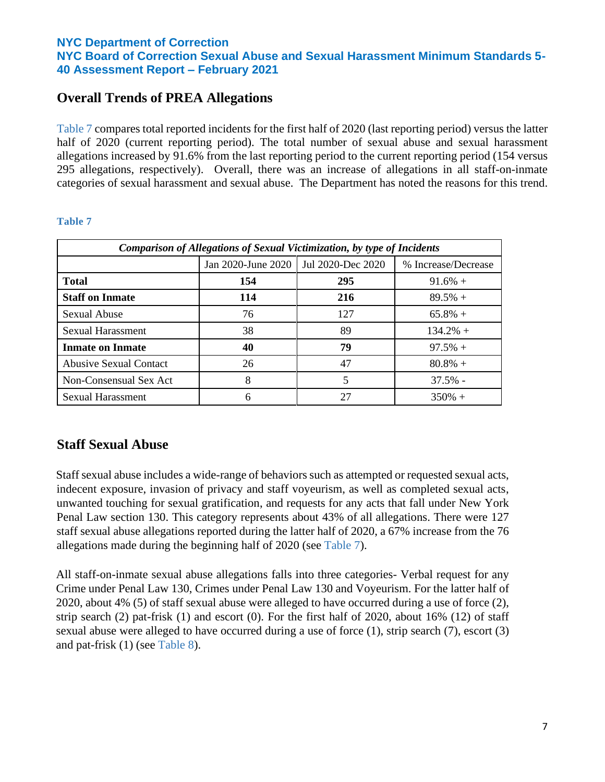# **Overall Trends of PREA Allegations**

Table 7 compares total reported incidents for the first half of 2020 (last reporting period) versus the latter half of 2020 (current reporting period). The total number of sexual abuse and sexual harassment allegations increased by 91.6% from the last reporting period to the current reporting period (154 versus 295 allegations, respectively). Overall, there was an increase of allegations in all staff-on-inmate categories of sexual harassment and sexual abuse. The Department has noted the reasons for this trend.

| <b>Comparison of Allegations of Sexual Victimization, by type of Incidents</b> |                                        |     |                     |  |  |
|--------------------------------------------------------------------------------|----------------------------------------|-----|---------------------|--|--|
|                                                                                | Jan 2020-June 2020   Jul 2020-Dec 2020 |     | % Increase/Decrease |  |  |
| <b>Total</b>                                                                   | 154                                    | 295 | $91.6\% +$          |  |  |
| <b>Staff on Inmate</b>                                                         | 114                                    | 216 | $89.5%$ +           |  |  |
| <b>Sexual Abuse</b>                                                            | 76                                     | 127 | $65.8\% +$          |  |  |
| <b>Sexual Harassment</b>                                                       | 38                                     | 89  | $134.2\% +$         |  |  |
| <b>Inmate on Inmate</b>                                                        | 40                                     | 79  | $97.5% +$           |  |  |
| <b>Abusive Sexual Contact</b>                                                  | 26                                     | 47  | $80.8\% +$          |  |  |
| Non-Consensual Sex Act                                                         | 8                                      | 5   | $37.5%$ -           |  |  |
| Sexual Harassment                                                              | 6                                      | 27  | $350\% +$           |  |  |

#### **Table 7**

# **Staff Sexual Abuse**

Staff sexual abuse includes a wide-range of behaviors such as attempted or requested sexual acts, indecent exposure, invasion of privacy and staff voyeurism, as well as completed sexual acts, unwanted touching for sexual gratification, and requests for any acts that fall under New York Penal Law section 130. This category represents about 43% of all allegations. There were 127 staff sexual abuse allegations reported during the latter half of 2020, a 67% increase from the 76 allegations made during the beginning half of 2020 (see Table 7).

All staff-on-inmate sexual abuse allegations falls into three categories- Verbal request for any Crime under Penal Law 130, Crimes under Penal Law 130 and Voyeurism. For the latter half of 2020, about 4% (5) of staff sexual abuse were alleged to have occurred during a use of force (2), strip search (2) pat-frisk (1) and escort (0). For the first half of 2020, about 16% (12) of staff sexual abuse were alleged to have occurred during a use of force (1), strip search (7), escort (3) and pat-frisk (1) (see Table 8).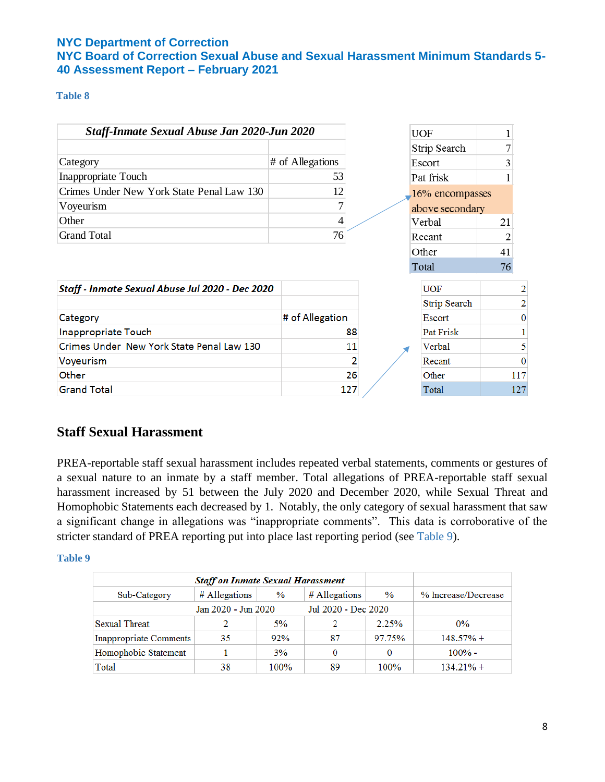## **NYC Board of Correction Sexual Abuse and Sexual Harassment Minimum Standards 5- 40 Assessment Report – February 2021**

#### **Table 8**

| Staff-Inmate Sexual Abuse Jan 2020-Jun 2020     |                  | <b>UOF</b>      |                |
|-------------------------------------------------|------------------|-----------------|----------------|
|                                                 |                  | Strip Search    |                |
| Category                                        | # of Allegations | Escort          |                |
| Inappropriate Touch                             | 53               | Pat frisk       |                |
| Crimes Under New York State Penal Law 130       | 12               | 16% encompasses |                |
| Voyeurism                                       |                  | above secondary |                |
| Other                                           | 4                | Verbal          | 21             |
| <b>Grand Total</b>                              | 76               | Recant          |                |
|                                                 |                  | Other           | 41             |
|                                                 |                  | Total           | 76             |
| Staff - Inmate Sexual Abuse Jul 2020 - Dec 2020 |                  | <b>UOF</b>      | 2              |
|                                                 |                  | Strip Search    | $\overline{c}$ |
| Category                                        | # of Allegation  | Escort          | $\bf{0}$       |
| Inappropriate Touch                             | 88               | Pat Frisk       |                |
| Crimes Under New York State Penal Law 130       | 11               | Verbal          | 5              |
| Voyeurism                                       |                  | Recant          | $\mathbf{0}$   |
| Other                                           | 26               | Other           | 117            |
| <b>Grand Total</b>                              | 127              | Total           | 127            |

# **Staff Sexual Harassment**

PREA-reportable staff sexual harassment includes repeated verbal statements, comments or gestures of a sexual nature to an inmate by a staff member. Total allegations of PREA-reportable staff sexual harassment increased by 51 between the July 2020 and December 2020, while Sexual Threat and Homophobic Statements each decreased by 1. Notably, the only category of sexual harassment that saw a significant change in allegations was "inappropriate comments". This data is corroborative of the stricter standard of PREA reporting put into place last reporting period (see Table 9).

|                                            | <b>Staff on Inmate Sexual Harassment</b> |      |               |               |                     |
|--------------------------------------------|------------------------------------------|------|---------------|---------------|---------------------|
| Sub-Category                               | # Allegations                            | $\%$ | # Allegations | $\frac{9}{6}$ | % Increase/Decrease |
| Jul 2020 - Dec 2020<br>Jan 2020 - Jun 2020 |                                          |      |               |               |                     |
| <b>Sexual Threat</b>                       |                                          | 5%   |               | 2.25%         | $0\%$               |
| <b>Inappropriate Comments</b>              | 35                                       | 92%  | 87            | 97.75%        | $148.57% +$         |
| Homophobic Statement                       |                                          | 3%   | 0             |               | $100\%$ -           |
| Total                                      | 38                                       | 100% | 89            | 100%          | $134.21% +$         |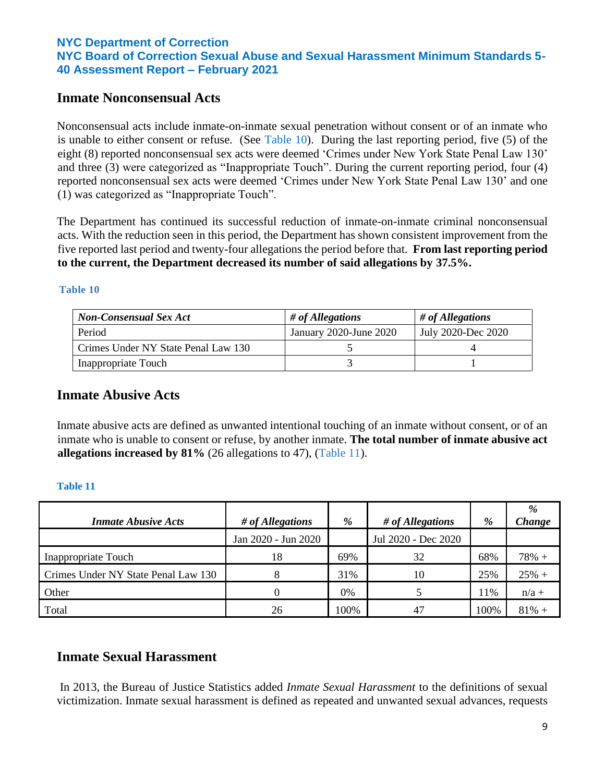## **Inmate Nonconsensual Acts**

Nonconsensual acts include inmate-on-inmate sexual penetration without consent or of an inmate who is unable to either consent or refuse. (See Table 10). During the last reporting period, five (5) of the eight (8) reported nonconsensual sex acts were deemed 'Crimes under New York State Penal Law 130' and three (3) were categorized as "Inappropriate Touch". During the current reporting period, four (4) reported nonconsensual sex acts were deemed 'Crimes under New York State Penal Law 130' and one (1) was categorized as "Inappropriate Touch".

The Department has continued its successful reduction of inmate-on-inmate criminal nonconsensual acts. With the reduction seen in this period, the Department has shown consistent improvement from the five reported last period and twenty-four allegations the period before that. **From last reporting period to the current, the Department decreased its number of said allegations by 37.5%.**

#### **Table 10**

| <b>Non-Consensual Sex Act</b>       | # of All equations     | $\#$ of Allegations |
|-------------------------------------|------------------------|---------------------|
| Period                              | January 2020-June 2020 | July 2020-Dec 2020  |
| Crimes Under NY State Penal Law 130 |                        |                     |
| Inappropriate Touch                 |                        |                     |

## **Inmate Abusive Acts**

Inmate abusive acts are defined as unwanted intentional touching of an inmate without consent, or of an inmate who is unable to consent or refuse, by another inmate. **The total number of inmate abusive act allegations increased by 81%** (26 allegations to 47), (Table 11).

#### **Table 11**

| <b>Inmate Abusive Acts</b>          | # of Allegations    | %    | # of All equations  | %    | %<br>Change |
|-------------------------------------|---------------------|------|---------------------|------|-------------|
|                                     | Jan 2020 - Jun 2020 |      | Jul 2020 - Dec 2020 |      |             |
| Inappropriate Touch                 | 18                  | 69%  | 32                  | 68%  | $78% +$     |
| Crimes Under NY State Penal Law 130 |                     | 31%  | 10                  | 25%  | $25% +$     |
| Other                               |                     | 0%   |                     | 11%  | $n/a +$     |
| Total                               | 26                  | 100% | 47                  | 100% | $81\% +$    |

## **Inmate Sexual Harassment**

In 2013, the Bureau of Justice Statistics added *Inmate Sexual Harassment* to the definitions of sexual victimization. Inmate sexual harassment is defined as repeated and unwanted sexual advances, requests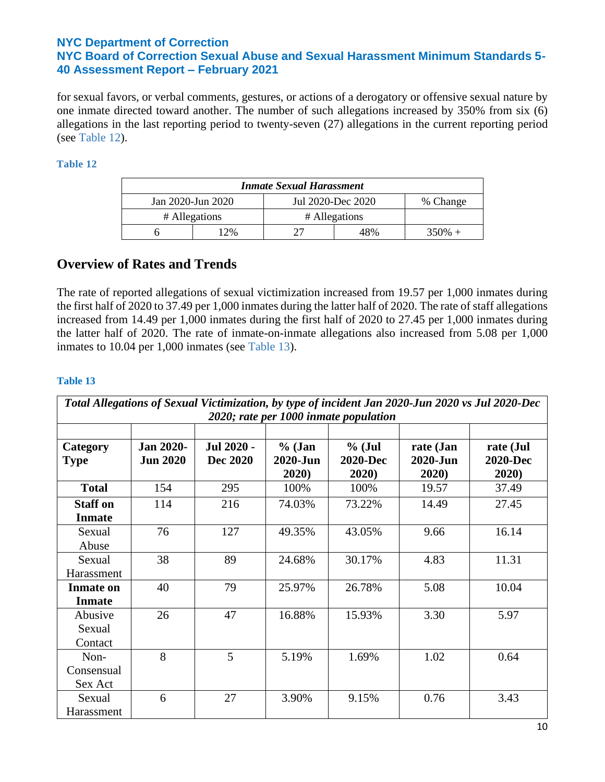## **NYC Department of Correction NYC Board of Correction Sexual Abuse and Sexual Harassment Minimum Standards 5-**

**40 Assessment Report – February 2021**

for sexual favors, or verbal comments, gestures, or actions of a derogatory or offensive sexual nature by one inmate directed toward another. The number of such allegations increased by 350% from six (6) allegations in the last reporting period to twenty-seven (27) allegations in the current reporting period (see Table 12).

#### **Table 12**

| <b>Inmate Sexual Harassment</b>                    |                                |     |  |           |  |
|----------------------------------------------------|--------------------------------|-----|--|-----------|--|
| Jul 2020-Dec 2020<br>Jan 2020-Jun 2020<br>% Change |                                |     |  |           |  |
|                                                    | # Allegations<br># Allegations |     |  |           |  |
|                                                    | <sup>2%</sup>                  | 48% |  | $350\% +$ |  |

## **Overview of Rates and Trends**

The rate of reported allegations of sexual victimization increased from 19.57 per 1,000 inmates during the first half of 2020 to 37.49 per 1,000 inmates during the latter half of 2020. The rate of staff allegations increased from 14.49 per 1,000 inmates during the first half of 2020 to 27.45 per 1,000 inmates during the latter half of 2020. The rate of inmate-on-inmate allegations also increased from 5.08 per 1,000 inmates to 10.04 per 1,000 inmates (see Table 13).

| Total Allegations of Sexual Victimization, by type of incident Jan 2020-Jun 2020 vs Jul 2020-Dec |                                     |                        |                               |                                      |                                |                                       |
|--------------------------------------------------------------------------------------------------|-------------------------------------|------------------------|-------------------------------|--------------------------------------|--------------------------------|---------------------------------------|
| 2020; rate per 1000 inmate population                                                            |                                     |                        |                               |                                      |                                |                                       |
| Category<br><b>Type</b>                                                                          | <b>Jan 2020-</b><br><b>Jun 2020</b> | Jul 2020 -<br>Dec 2020 | $%$ (Jan<br>2020-Jun<br>2020) | $%$ (Jul<br><b>2020-Dec</b><br>2020) | rate (Jan<br>2020-Jun<br>2020) | rate (Jul<br><b>2020-Dec</b><br>2020) |
| <b>Total</b>                                                                                     | 154                                 | 295                    | 100%                          | 100%                                 | 19.57                          | 37.49                                 |
| <b>Staff on</b><br><b>Inmate</b>                                                                 | 114                                 | 216                    | 74.03%                        | 73.22%                               | 14.49                          | 27.45                                 |
| Sexual<br>Abuse                                                                                  | 76                                  | 127                    | 49.35%                        | 43.05%                               | 9.66                           | 16.14                                 |
| Sexual<br>Harassment                                                                             | 38                                  | 89                     | 24.68%                        | 30.17%                               | 4.83                           | 11.31                                 |
| <b>Inmate on</b><br><b>Inmate</b>                                                                | 40                                  | 79                     | 25.97%                        | 26.78%                               | 5.08                           | 10.04                                 |
| Abusive<br>Sexual<br>Contact                                                                     | 26                                  | 47                     | 16.88%                        | 15.93%                               | 3.30                           | 5.97                                  |
| Non-<br>Consensual<br>Sex Act                                                                    | 8                                   | 5                      | 5.19%                         | 1.69%                                | 1.02                           | 0.64                                  |
| Sexual<br>Harassment                                                                             | 6                                   | 27                     | 3.90%                         | 9.15%                                | 0.76                           | 3.43                                  |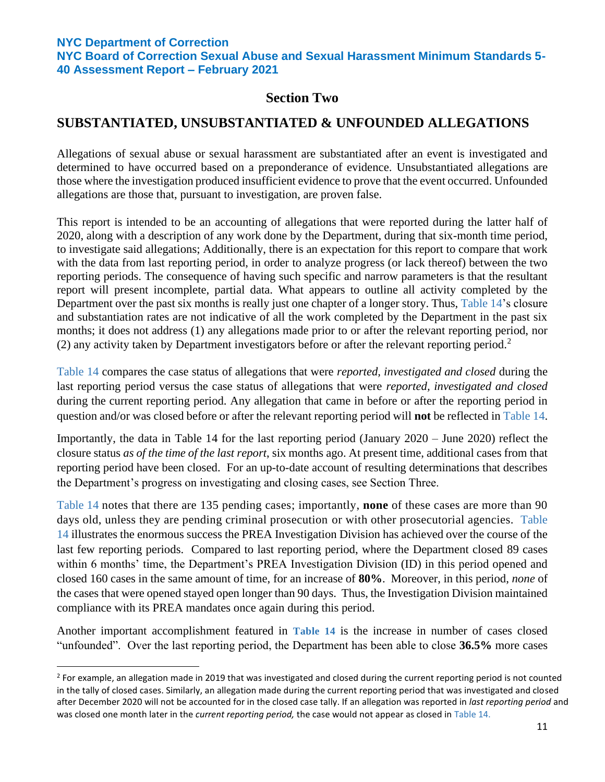**NYC Board of Correction Sexual Abuse and Sexual Harassment Minimum Standards 5- 40 Assessment Report – February 2021**

## **Section Two**

## **SUBSTANTIATED, UNSUBSTANTIATED & UNFOUNDED ALLEGATIONS**

Allegations of sexual abuse or sexual harassment are substantiated after an event is investigated and determined to have occurred based on a preponderance of evidence. Unsubstantiated allegations are those where the investigation produced insufficient evidence to prove that the event occurred. Unfounded allegations are those that, pursuant to investigation, are proven false.

This report is intended to be an accounting of allegations that were reported during the latter half of 2020, along with a description of any work done by the Department, during that six-month time period, to investigate said allegations; Additionally, there is an expectation for this report to compare that work with the data from last reporting period, in order to analyze progress (or lack thereof) between the two reporting periods. The consequence of having such specific and narrow parameters is that the resultant report will present incomplete, partial data. What appears to outline all activity completed by the Department over the past six months is really just one chapter of a longer story. Thus, Table 14's closure and substantiation rates are not indicative of all the work completed by the Department in the past six months; it does not address (1) any allegations made prior to or after the relevant reporting period, nor (2) any activity taken by Department investigators before or after the relevant reporting period.<sup>2</sup>

Table 14 compares the case status of allegations that were *reported, investigated and closed* during the last reporting period versus the case status of allegations that were *reported, investigated and closed*  during the current reporting period. Any allegation that came in before or after the reporting period in question and/or was closed before or after the relevant reporting period will **not** be reflected in Table 14.

Importantly, the data in Table 14 for the last reporting period (January 2020 – June 2020) reflect the closure status *as of the time of the last report*, six months ago. At present time, additional cases from that reporting period have been closed. For an up-to-date account of resulting determinations that describes the Department's progress on investigating and closing cases, see Section Three.

Table 14 notes that there are 135 pending cases; importantly, **none** of these cases are more than 90 days old, unless they are pending criminal prosecution or with other prosecutorial agencies. Table 14 illustrates the enormous success the PREA Investigation Division has achieved over the course of the last few reporting periods. Compared to last reporting period, where the Department closed 89 cases within 6 months' time, the Department's PREA Investigation Division (ID) in this period opened and closed 160 cases in the same amount of time, for an increase of **80%**. Moreover, in this period, *none* of the cases that were opened stayed open longer than 90 days. Thus, the Investigation Division maintained compliance with its PREA mandates once again during this period.

Another important accomplishment featured in **Table 14** is the increase in number of cases closed "unfounded". Over the last reporting period, the Department has been able to close **36.5%** more cases

 $2$  For example, an allegation made in 2019 that was investigated and closed during the current reporting period is not counted in the tally of closed cases. Similarly, an allegation made during the current reporting period that was investigated and closed after December 2020 will not be accounted for in the closed case tally. If an allegation was reported in *last reporting period* and was closed one month later in the *current reporting period,* the case would not appear as closed in Table 14.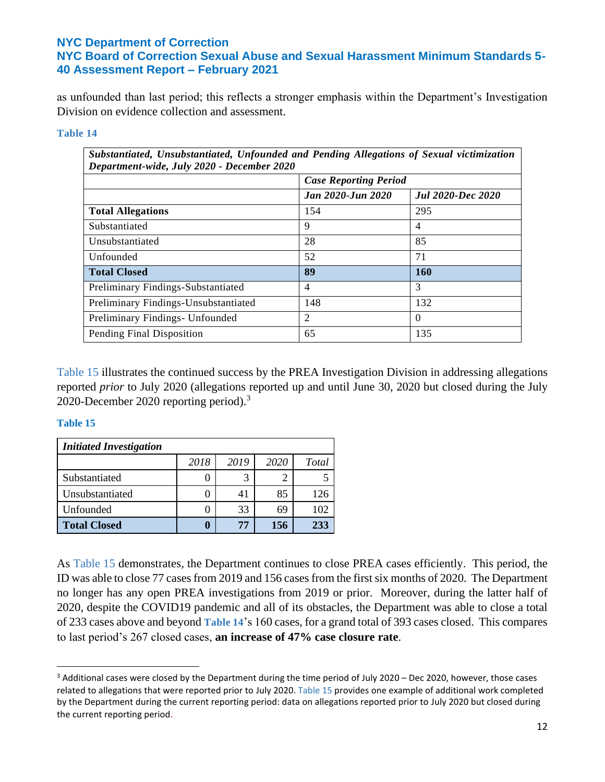as unfounded than last period; this reflects a stronger emphasis within the Department's Investigation Division on evidence collection and assessment.

#### **Table 14**

| Substantiated, Unsubstantiated, Unfounded and Pending Allegations of Sexual victimization<br>Department-wide, July 2020 - December 2020 |                              |                          |  |  |  |
|-----------------------------------------------------------------------------------------------------------------------------------------|------------------------------|--------------------------|--|--|--|
|                                                                                                                                         | <b>Case Reporting Period</b> |                          |  |  |  |
|                                                                                                                                         | <b>Jan 2020-Jun 2020</b>     | <b>Jul 2020-Dec 2020</b> |  |  |  |
| <b>Total Allegations</b>                                                                                                                | 154                          | 295                      |  |  |  |
| Substantiated                                                                                                                           | 9                            | $\overline{4}$           |  |  |  |
| Unsubstantiated                                                                                                                         | 28                           | 85                       |  |  |  |
| Unfounded                                                                                                                               | 52                           | 71                       |  |  |  |
| <b>Total Closed</b>                                                                                                                     | 89                           | <b>160</b>               |  |  |  |
| Preliminary Findings-Substantiated                                                                                                      | $\overline{4}$               | 3                        |  |  |  |
| Preliminary Findings-Unsubstantiated                                                                                                    | 148                          | 132                      |  |  |  |
| Preliminary Findings- Unfounded                                                                                                         | 2                            | $\Omega$                 |  |  |  |
| Pending Final Disposition                                                                                                               | 65                           | 135                      |  |  |  |

Table 15 illustrates the continued success by the PREA Investigation Division in addressing allegations reported *prior* to July 2020 (allegations reported up and until June 30, 2020 but closed during the July 2020-December 2020 reporting period). 3

#### **Table 15**

| <b>Initiated Investigation</b> |      |      |      |              |  |  |
|--------------------------------|------|------|------|--------------|--|--|
|                                | 2018 | 2019 | 2020 | <b>Total</b> |  |  |
| Substantiated                  |      |      |      |              |  |  |
| Unsubstantiated                |      | 41   | 85   | 126          |  |  |
| Unfounded                      |      | 33   | 69   | 102          |  |  |
| <b>Total Closed</b>            |      | 77   | 156  | 233          |  |  |

As Table 15 demonstrates, the Department continues to close PREA cases efficiently. This period, the ID was able to close 77 cases from 2019 and 156 cases from the first six months of 2020. The Department no longer has any open PREA investigations from 2019 or prior. Moreover, during the latter half of 2020, despite the COVID19 pandemic and all of its obstacles, the Department was able to close a total of 233 cases above and beyond **Table 14**'s 160 cases, for a grand total of 393 cases closed. This compares to last period's 267 closed cases, **an increase of 47% case closure rate**.

 $3$  Additional cases were closed by the Department during the time period of July 2020 – Dec 2020, however, those cases related to allegations that were reported prior to July 2020. Table 15 provides one example of additional work completed by the Department during the current reporting period: data on allegations reported prior to July 2020 but closed during the current reporting period.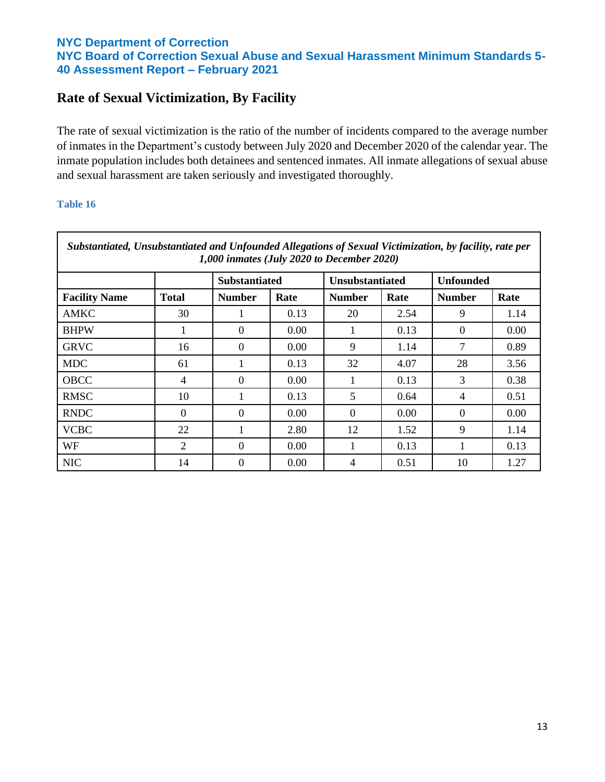# **Rate of Sexual Victimization, By Facility**

The rate of sexual victimization is the ratio of the number of incidents compared to the average number of inmates in the Department's custody between July 2020 and December 2020 of the calendar year. The inmate population includes both detainees and sentenced inmates. All inmate allegations of sexual abuse and sexual harassment are taken seriously and investigated thoroughly.

| Substantiated, Unsubstantiated and Unfounded Allegations of Sexual Victimization, by facility, rate per<br>1,000 inmates (July 2020 to December 2020) |              |                      |                |                        |      |                  |      |
|-------------------------------------------------------------------------------------------------------------------------------------------------------|--------------|----------------------|----------------|------------------------|------|------------------|------|
|                                                                                                                                                       |              | <b>Substantiated</b> |                | <b>Unsubstantiated</b> |      | <b>Unfounded</b> |      |
| <b>Facility Name</b>                                                                                                                                  | <b>Total</b> | <b>Number</b>        | Rate           | <b>Number</b>          | Rate | <b>Number</b>    | Rate |
| AMKC                                                                                                                                                  | 30           | 1                    | 0.13           | 20                     | 2.54 | 9                | 1.14 |
| <b>BHPW</b>                                                                                                                                           |              | $\theta$             | 0.00           |                        | 0.13 | $\Omega$         | 0.00 |
| <b>GRVC</b>                                                                                                                                           | 16           | $\Omega$             | $0.00^{\circ}$ | 9                      | 1.14 | 7                | 0.89 |
| <b>MDC</b>                                                                                                                                            | 61           |                      | 0.13           | 32                     | 4.07 | 28               | 3.56 |
| <b>OBCC</b>                                                                                                                                           | 4            | $\theta$             | 0.00           |                        | 0.13 | 3                | 0.38 |
| <b>RMSC</b>                                                                                                                                           | 10           |                      | 0.13           | 5                      | 0.64 | 4                | 0.51 |
| <b>RNDC</b>                                                                                                                                           | $\Omega$     | $\theta$             | 0.00           | $\Omega$               | 0.00 | $\Omega$         | 0.00 |
| <b>VCBC</b>                                                                                                                                           | 22           | 1                    | 2.80           | 12                     | 1.52 | 9                | 1.14 |
| WF                                                                                                                                                    | 2            | $\Omega$             | 0.00           |                        | 0.13 | 1                | 0.13 |
| <b>NIC</b>                                                                                                                                            | 14           | $\Omega$             | 0.00           | 4                      | 0.51 | 10               | 1.27 |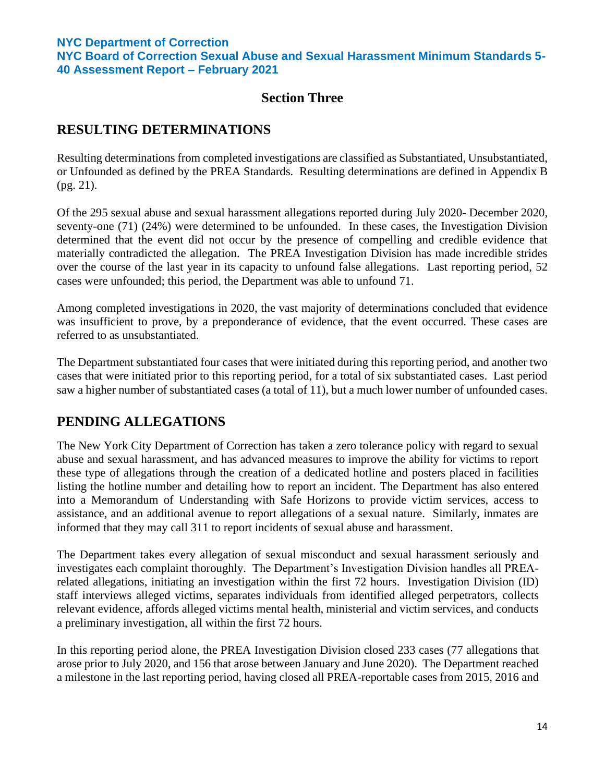**NYC Board of Correction Sexual Abuse and Sexual Harassment Minimum Standards 5- 40 Assessment Report – February 2021**

## **Section Three**

# **RESULTING DETERMINATIONS**

Resulting determinations from completed investigations are classified as Substantiated, Unsubstantiated, or Unfounded as defined by the PREA Standards. Resulting determinations are defined in Appendix B (pg. 21).

Of the 295 sexual abuse and sexual harassment allegations reported during July 2020- December 2020, seventy-one (71) (24%) were determined to be unfounded. In these cases, the Investigation Division determined that the event did not occur by the presence of compelling and credible evidence that materially contradicted the allegation. The PREA Investigation Division has made incredible strides over the course of the last year in its capacity to unfound false allegations. Last reporting period, 52 cases were unfounded; this period, the Department was able to unfound 71.

Among completed investigations in 2020, the vast majority of determinations concluded that evidence was insufficient to prove, by a preponderance of evidence, that the event occurred. These cases are referred to as unsubstantiated.

The Department substantiated four cases that were initiated during this reporting period, and another two cases that were initiated prior to this reporting period, for a total of six substantiated cases. Last period saw a higher number of substantiated cases (a total of 11), but a much lower number of unfounded cases.

# **PENDING ALLEGATIONS**

The New York City Department of Correction has taken a zero tolerance policy with regard to sexual abuse and sexual harassment, and has advanced measures to improve the ability for victims to report these type of allegations through the creation of a dedicated hotline and posters placed in facilities listing the hotline number and detailing how to report an incident. The Department has also entered into a Memorandum of Understanding with Safe Horizons to provide victim services, access to assistance, and an additional avenue to report allegations of a sexual nature. Similarly, inmates are informed that they may call 311 to report incidents of sexual abuse and harassment.

The Department takes every allegation of sexual misconduct and sexual harassment seriously and investigates each complaint thoroughly. The Department's Investigation Division handles all PREArelated allegations, initiating an investigation within the first 72 hours. Investigation Division (ID) staff interviews alleged victims, separates individuals from identified alleged perpetrators, collects relevant evidence, affords alleged victims mental health, ministerial and victim services, and conducts a preliminary investigation, all within the first 72 hours.

In this reporting period alone, the PREA Investigation Division closed 233 cases (77 allegations that arose prior to July 2020, and 156 that arose between January and June 2020). The Department reached a milestone in the last reporting period, having closed all PREA-reportable cases from 2015, 2016 and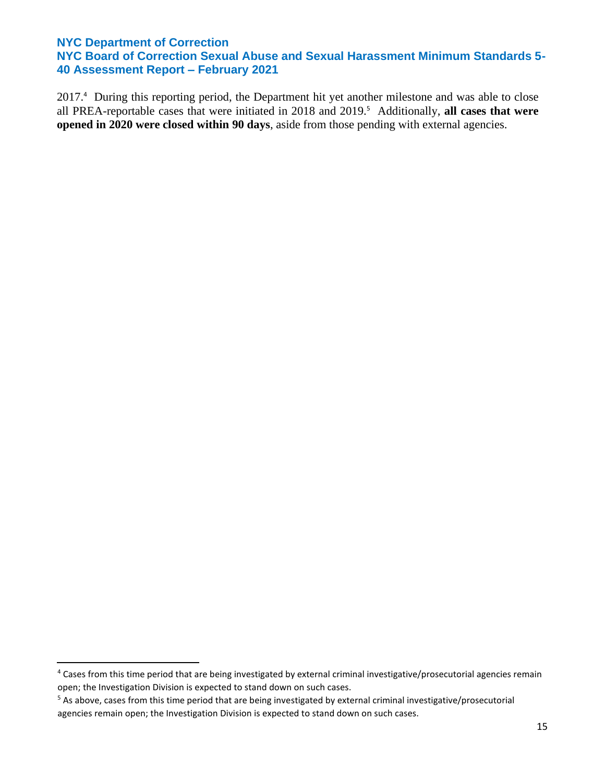**NYC Board of Correction Sexual Abuse and Sexual Harassment Minimum Standards 5- 40 Assessment Report – February 2021**

2017.<sup>4</sup> During this reporting period, the Department hit yet another milestone and was able to close all PREA-reportable cases that were initiated in 2018 and 2019.<sup>5</sup> Additionally, all cases that were **opened in 2020 were closed within 90 days**, aside from those pending with external agencies.

<sup>4</sup> Cases from this time period that are being investigated by external criminal investigative/prosecutorial agencies remain open; the Investigation Division is expected to stand down on such cases.

<sup>&</sup>lt;sup>5</sup> As above, cases from this time period that are being investigated by external criminal investigative/prosecutorial agencies remain open; the Investigation Division is expected to stand down on such cases.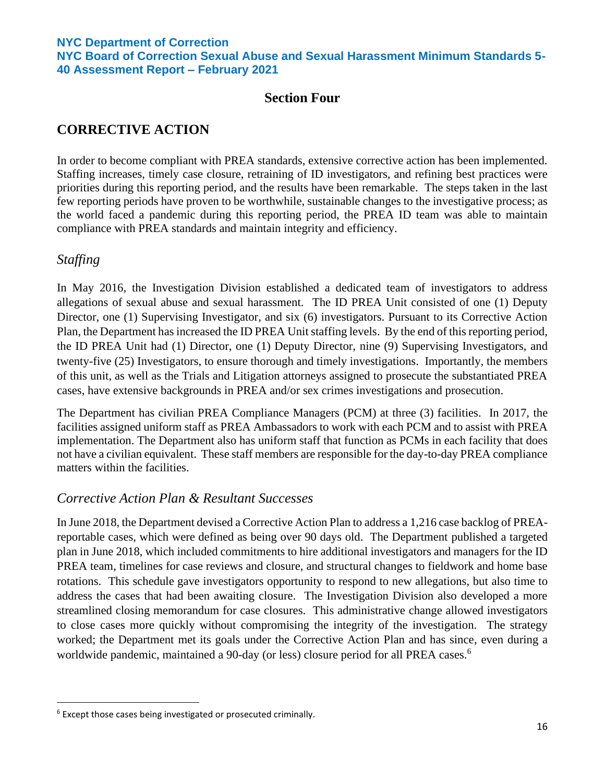**NYC Board of Correction Sexual Abuse and Sexual Harassment Minimum Standards 5- 40 Assessment Report – February 2021**

## **Section Four**

# **CORRECTIVE ACTION**

In order to become compliant with PREA standards, extensive corrective action has been implemented. Staffing increases, timely case closure, retraining of ID investigators, and refining best practices were priorities during this reporting period, and the results have been remarkable. The steps taken in the last few reporting periods have proven to be worthwhile, sustainable changes to the investigative process; as the world faced a pandemic during this reporting period, the PREA ID team was able to maintain compliance with PREA standards and maintain integrity and efficiency.

## *Staffing*

In May 2016, the Investigation Division established a dedicated team of investigators to address allegations of sexual abuse and sexual harassment. The ID PREA Unit consisted of one (1) Deputy Director, one (1) Supervising Investigator, and six (6) investigators. Pursuant to its Corrective Action Plan, the Department has increased the ID PREA Unit staffing levels. By the end of this reporting period, the ID PREA Unit had (1) Director, one (1) Deputy Director, nine (9) Supervising Investigators, and twenty-five (25) Investigators, to ensure thorough and timely investigations. Importantly, the members of this unit, as well as the Trials and Litigation attorneys assigned to prosecute the substantiated PREA cases, have extensive backgrounds in PREA and/or sex crimes investigations and prosecution.

The Department has civilian PREA Compliance Managers (PCM) at three (3) facilities. In 2017, the facilities assigned uniform staff as PREA Ambassadors to work with each PCM and to assist with PREA implementation. The Department also has uniform staff that function as PCMs in each facility that does not have a civilian equivalent. These staff members are responsible for the day-to-day PREA compliance matters within the facilities.

## *Corrective Action Plan & Resultant Successes*

In June 2018, the Department devised a Corrective Action Plan to address a 1,216 case backlog of PREAreportable cases, which were defined as being over 90 days old. The Department published a targeted plan in June 2018, which included commitments to hire additional investigators and managers for the ID PREA team, timelines for case reviews and closure, and structural changes to fieldwork and home base rotations. This schedule gave investigators opportunity to respond to new allegations, but also time to address the cases that had been awaiting closure. The Investigation Division also developed a more streamlined closing memorandum for case closures. This administrative change allowed investigators to close cases more quickly without compromising the integrity of the investigation. The strategy worked; the Department met its goals under the Corrective Action Plan and has since, even during a worldwide pandemic, maintained a 90-day (or less) closure period for all PREA cases.<sup>6</sup>

 $6$  Except those cases being investigated or prosecuted criminally.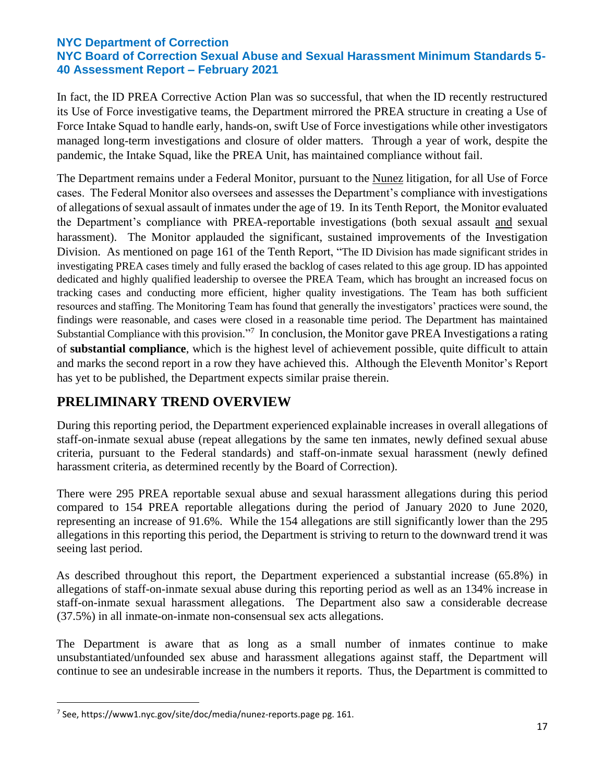In fact, the ID PREA Corrective Action Plan was so successful, that when the ID recently restructured its Use of Force investigative teams, the Department mirrored the PREA structure in creating a Use of Force Intake Squad to handle early, hands-on, swift Use of Force investigations while other investigators managed long-term investigations and closure of older matters. Through a year of work, despite the pandemic, the Intake Squad, like the PREA Unit, has maintained compliance without fail.

The Department remains under a Federal Monitor, pursuant to the Nunez litigation, for all Use of Force cases. The Federal Monitor also oversees and assesses the Department's compliance with investigations of allegations of sexual assault of inmates under the age of 19. In its Tenth Report, the Monitor evaluated the Department's compliance with PREA-reportable investigations (both sexual assault and sexual harassment). The Monitor applauded the significant, sustained improvements of the Investigation Division. As mentioned on page 161 of the Tenth Report, "The ID Division has made significant strides in investigating PREA cases timely and fully erased the backlog of cases related to this age group. ID has appointed dedicated and highly qualified leadership to oversee the PREA Team, which has brought an increased focus on tracking cases and conducting more efficient, higher quality investigations. The Team has both sufficient resources and staffing. The Monitoring Team has found that generally the investigators' practices were sound, the findings were reasonable, and cases were closed in a reasonable time period. The Department has maintained Substantial Compliance with this provision."<sup>7</sup> In conclusion, the Monitor gave PREA Investigations a rating of **substantial compliance**, which is the highest level of achievement possible, quite difficult to attain and marks the second report in a row they have achieved this. Although the Eleventh Monitor's Report has yet to be published, the Department expects similar praise therein.

# **PRELIMINARY TREND OVERVIEW**

During this reporting period, the Department experienced explainable increases in overall allegations of staff-on-inmate sexual abuse (repeat allegations by the same ten inmates, newly defined sexual abuse criteria, pursuant to the Federal standards) and staff-on-inmate sexual harassment (newly defined harassment criteria, as determined recently by the Board of Correction).

There were 295 PREA reportable sexual abuse and sexual harassment allegations during this period compared to 154 PREA reportable allegations during the period of January 2020 to June 2020, representing an increase of 91.6%. While the 154 allegations are still significantly lower than the 295 allegations in this reporting this period, the Department is striving to return to the downward trend it was seeing last period.

As described throughout this report, the Department experienced a substantial increase (65.8%) in allegations of staff-on-inmate sexual abuse during this reporting period as well as an 134% increase in staff-on-inmate sexual harassment allegations. The Department also saw a considerable decrease (37.5%) in all inmate-on-inmate non-consensual sex acts allegations.

The Department is aware that as long as a small number of inmates continue to make unsubstantiated/unfounded sex abuse and harassment allegations against staff, the Department will continue to see an undesirable increase in the numbers it reports. Thus, the Department is committed to

 $^7$  See, https://www1.nyc.gov/site/doc/media/nunez-reports.page pg. 161.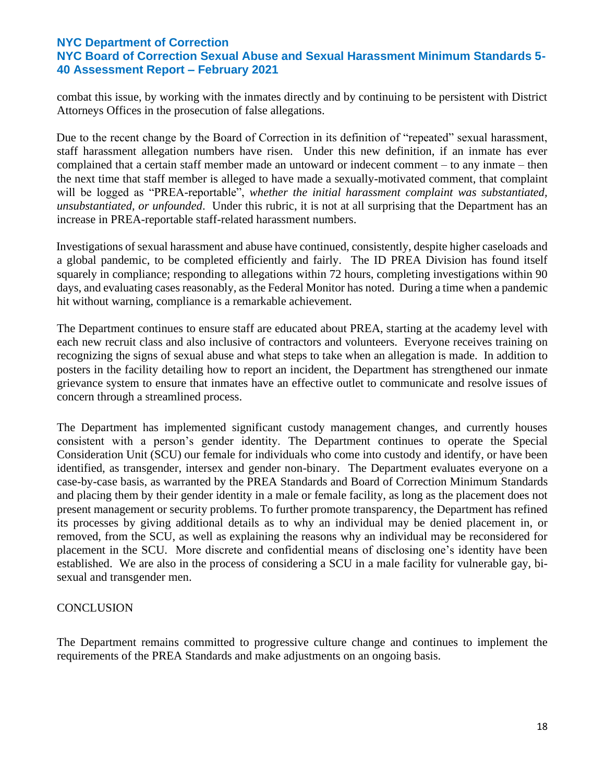combat this issue, by working with the inmates directly and by continuing to be persistent with District Attorneys Offices in the prosecution of false allegations.

Due to the recent change by the Board of Correction in its definition of "repeated" sexual harassment, staff harassment allegation numbers have risen. Under this new definition, if an inmate has ever complained that a certain staff member made an untoward or indecent comment – to any inmate – then the next time that staff member is alleged to have made a sexually-motivated comment, that complaint will be logged as "PREA-reportable", *whether the initial harassment complaint was substantiated, unsubstantiated, or unfounded*. Under this rubric, it is not at all surprising that the Department has an increase in PREA-reportable staff-related harassment numbers.

Investigations of sexual harassment and abuse have continued, consistently, despite higher caseloads and a global pandemic, to be completed efficiently and fairly. The ID PREA Division has found itself squarely in compliance; responding to allegations within 72 hours, completing investigations within 90 days, and evaluating cases reasonably, as the Federal Monitor has noted. During a time when a pandemic hit without warning, compliance is a remarkable achievement.

The Department continues to ensure staff are educated about PREA, starting at the academy level with each new recruit class and also inclusive of contractors and volunteers. Everyone receives training on recognizing the signs of sexual abuse and what steps to take when an allegation is made. In addition to posters in the facility detailing how to report an incident, the Department has strengthened our inmate grievance system to ensure that inmates have an effective outlet to communicate and resolve issues of concern through a streamlined process.

The Department has implemented significant custody management changes, and currently houses consistent with a person's gender identity. The Department continues to operate the Special Consideration Unit (SCU) our female for individuals who come into custody and identify, or have been identified, as transgender, intersex and gender non-binary. The Department evaluates everyone on a case-by-case basis, as warranted by the PREA Standards and Board of Correction Minimum Standards and placing them by their gender identity in a male or female facility, as long as the placement does not present management or security problems. To further promote transparency, the Department has refined its processes by giving additional details as to why an individual may be denied placement in, or removed, from the SCU, as well as explaining the reasons why an individual may be reconsidered for placement in the SCU. More discrete and confidential means of disclosing one's identity have been established. We are also in the process of considering a SCU in a male facility for vulnerable gay, bisexual and transgender men.

## **CONCLUSION**

The Department remains committed to progressive culture change and continues to implement the requirements of the PREA Standards and make adjustments on an ongoing basis.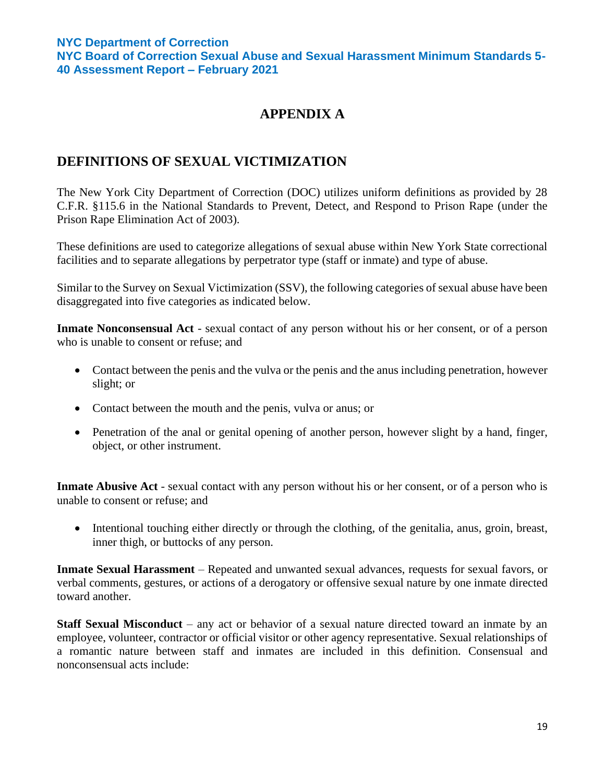# **APPENDIX A**

# **DEFINITIONS OF SEXUAL VICTIMIZATION**

The New York City Department of Correction (DOC) utilizes uniform definitions as provided by 28 C.F.R. §115.6 in the National Standards to Prevent, Detect, and Respond to Prison Rape (under the Prison Rape Elimination Act of 2003).

These definitions are used to categorize allegations of sexual abuse within New York State correctional facilities and to separate allegations by perpetrator type (staff or inmate) and type of abuse.

Similar to the Survey on Sexual Victimization (SSV), the following categories of sexual abuse have been disaggregated into five categories as indicated below.

**Inmate Nonconsensual Act** - sexual contact of any person without his or her consent, or of a person who is unable to consent or refuse; and

- Contact between the penis and the vulva or the penis and the anus including penetration, however slight; or
- Contact between the mouth and the penis, vulva or anus; or
- Penetration of the anal or genital opening of another person, however slight by a hand, finger, object, or other instrument.

**Inmate Abusive Act** - sexual contact with any person without his or her consent, or of a person who is unable to consent or refuse; and

• Intentional touching either directly or through the clothing, of the genitalia, anus, groin, breast, inner thigh, or buttocks of any person.

**Inmate Sexual Harassment** – Repeated and unwanted sexual advances, requests for sexual favors, or verbal comments, gestures, or actions of a derogatory or offensive sexual nature by one inmate directed toward another.

**Staff Sexual Misconduct** – any act or behavior of a sexual nature directed toward an inmate by an employee, volunteer, contractor or official visitor or other agency representative. Sexual relationships of a romantic nature between staff and inmates are included in this definition. Consensual and nonconsensual acts include: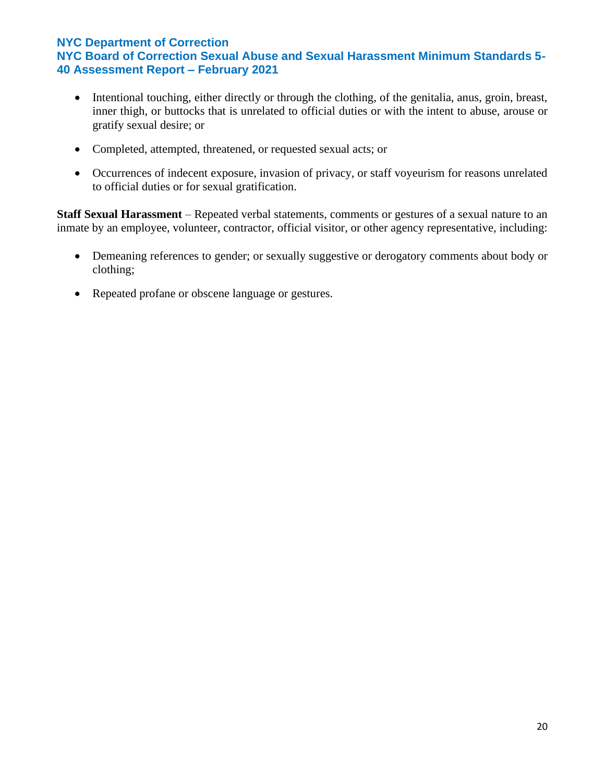- Intentional touching, either directly or through the clothing, of the genitalia, anus, groin, breast, inner thigh, or buttocks that is unrelated to official duties or with the intent to abuse, arouse or gratify sexual desire; or
- Completed, attempted, threatened, or requested sexual acts; or
- Occurrences of indecent exposure, invasion of privacy, or staff voyeurism for reasons unrelated to official duties or for sexual gratification.

**Staff Sexual Harassment** – Repeated verbal statements, comments or gestures of a sexual nature to an inmate by an employee, volunteer, contractor, official visitor, or other agency representative, including:

- Demeaning references to gender; or sexually suggestive or derogatory comments about body or clothing;
- Repeated profane or obscene language or gestures.